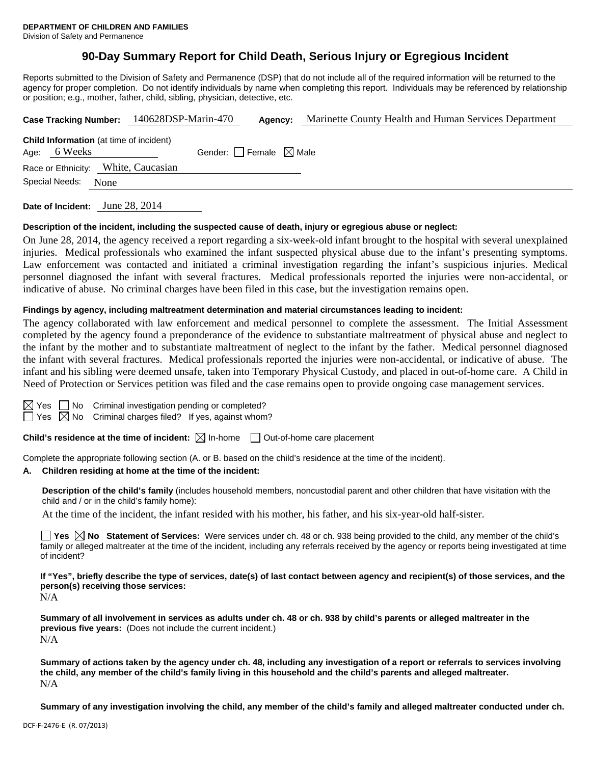# **90-Day Summary Report for Child Death, Serious Injury or Egregious Incident**

Reports submitted to the Division of Safety and Permanence (DSP) that do not include all of the required information will be returned to the agency for proper completion. Do not identify individuals by name when completing this report. Individuals may be referenced by relationship or position; e.g., mother, father, child, sibling, physician, detective, etc.

|                |      | Case Tracking Number: 140628DSP-Marin-470      |                                 | Agency: | Marinette County Health and Human Services Department |
|----------------|------|------------------------------------------------|---------------------------------|---------|-------------------------------------------------------|
| Age: 6 Weeks   |      | <b>Child Information</b> (at time of incident) | Gender: Female $\boxtimes$ Male |         |                                                       |
|                |      | Race or Ethnicity: White, Caucasian            |                                 |         |                                                       |
| Special Needs: | None |                                                |                                 |         |                                                       |
|                |      |                                                |                                 |         |                                                       |

**Date of Incident:** June 28, 2014

#### **Description of the incident, including the suspected cause of death, injury or egregious abuse or neglect:**

On June 28, 2014, the agency received a report regarding a six-week-old infant brought to the hospital with several unexplained injuries. Medical professionals who examined the infant suspected physical abuse due to the infant's presenting symptoms. Law enforcement was contacted and initiated a criminal investigation regarding the infant's suspicious injuries. Medical personnel diagnosed the infant with several fractures. Medical professionals reported the injuries were non-accidental, or indicative of abuse. No criminal charges have been filed in this case, but the investigation remains open.

#### **Findings by agency, including maltreatment determination and material circumstances leading to incident:**

The agency collaborated with law enforcement and medical personnel to complete the assessment. The Initial Assessment completed by the agency found a preponderance of the evidence to substantiate maltreatment of physical abuse and neglect to the infant by the mother and to substantiate maltreatment of neglect to the infant by the father. Medical personnel diagnosed the infant with several fractures. Medical professionals reported the injuries were non-accidental, or indicative of abuse. The infant and his sibling were deemed unsafe, taken into Temporary Physical Custody, and placed in out-of-home care. A Child in Need of Protection or Services petition was filed and the case remains open to provide ongoing case management services.

 $\boxtimes$  Yes  $\Box$  No Criminal investigation pending or completed?  $\Box$  Yes  $\boxtimes$  No Criminal charges filed? If yes, against whom?

**Child's residence at the time of incident:**  $\boxtimes$  In-home  $\Box$  Out-of-home care placement

Complete the appropriate following section (A. or B. based on the child's residence at the time of the incident).

#### **A. Children residing at home at the time of the incident:**

**Description of the child's family** (includes household members, noncustodial parent and other children that have visitation with the child and / or in the child's family home):

At the time of the incident, the infant resided with his mother, his father, and his six-year-old half-sister.

■ Yes **No** Statement of Services: Were services under ch. 48 or ch. 938 being provided to the child, any member of the child's family or alleged maltreater at the time of the incident, including any referrals received by the agency or reports being investigated at time of incident?

**If "Yes", briefly describe the type of services, date(s) of last contact between agency and recipient(s) of those services, and the person(s) receiving those services:** 

N/A

**Summary of all involvement in services as adults under ch. 48 or ch. 938 by child's parents or alleged maltreater in the previous five years:** (Does not include the current incident.) N/A

**Summary of actions taken by the agency under ch. 48, including any investigation of a report or referrals to services involving the child, any member of the child's family living in this household and the child's parents and alleged maltreater.** N/A

**Summary of any investigation involving the child, any member of the child's family and alleged maltreater conducted under ch.**